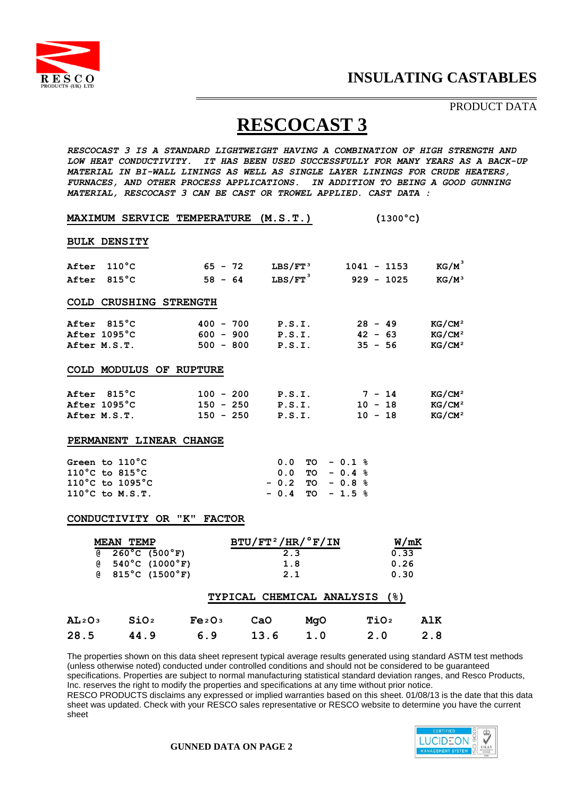

## PRODUCT DATA

## **RESCOCAST 3**

*RESCOCAST 3 IS A STANDARD LIGHTWEIGHT HAVING A COMBINATION OF HIGH STRENGTH AND LOW HEAT CONDUCTIVITY. IT HAS BEEN USED SUCCESSFULLY FOR MANY YEARS AS A BACK-UP MATERIAL IN BI-WALL LININGS AS WELL AS SINGLE LAYER LININGS FOR CRUDE HEATERS, FURNACES, AND OTHER PROCESS APPLICATIONS. IN ADDITION TO BEING A GOOD GUNNING MATERIAL, RESCOCAST 3 CAN BE CAST OR TROWEL APPLIED. CAST DATA :*

|                                      |                                                                          | <b>MAXIMUM SERVICE TEMPERATURE</b> | (M.S.T.)                      |                  | $(1300^{\circ}C)$  |  |  |  |
|--------------------------------------|--------------------------------------------------------------------------|------------------------------------|-------------------------------|------------------|--------------------|--|--|--|
|                                      | <b>BULK DENSITY</b>                                                      |                                    |                               |                  |                    |  |  |  |
| After                                | $110\degree$ C                                                           | $65 - 72$                          | ${\rm LBS/FT\,^3}$            | $1041 - 1153$    | $KG/M^3$           |  |  |  |
| After                                | $815^{\circ}$ C                                                          | $58 - 64$                          | $LBS/FT$ <sup>3</sup>         | $929 - 1025$     | $KG/M^3$           |  |  |  |
|                                      | COLD CRUSHING STRENGTH                                                   |                                    |                               |                  |                    |  |  |  |
| After 815°C                          |                                                                          | $400 - 700$                        | P.S.I.                        | $28 - 49$        | KG/CM <sup>2</sup> |  |  |  |
| After 1095°C                         |                                                                          | $600 - 900$                        | P.S.I.                        | $42 - 63$        | KG/CM <sup>2</sup> |  |  |  |
| After M.S.T.                         |                                                                          | $500 - 800$                        | P.S.I.                        | $35 - 56$        | KG/CM <sup>2</sup> |  |  |  |
|                                      | COLD MODULUS OF RUPTURE                                                  |                                    |                               |                  |                    |  |  |  |
| After 815°C                          |                                                                          | $100 - 200$                        | P.S.I.                        | $7 - 14$         | KG/CM <sup>2</sup> |  |  |  |
| After 1095°C                         |                                                                          | $150 - 250$                        | P.S.I.                        | $10 - 18$        | KG/CM <sup>2</sup> |  |  |  |
| After M.S.T.                         |                                                                          | $150 - 250$                        | P.S.I.                        | $10 - 18$        | KG/CM <sup>2</sup> |  |  |  |
| PERMANENT LINEAR CHANGE              |                                                                          |                                    |                               |                  |                    |  |  |  |
|                                      | Green to 110°C                                                           |                                    | 0.0                           | $TO - 0.1 %$     |                    |  |  |  |
|                                      | 110°C to 815°C                                                           |                                    | 0.0                           | $TO - 0.4 %$     |                    |  |  |  |
|                                      | 110°C to 1095°C                                                          |                                    | $-0.2$                        | $TO - 0.8 %$     |                    |  |  |  |
|                                      | 110°C to M.S.T.                                                          |                                    | $-0.4$                        | $TO - 1.5 %$     |                    |  |  |  |
| CONDUCTIVITY OR "K"<br><b>FACTOR</b> |                                                                          |                                    |                               |                  |                    |  |  |  |
|                                      | <b>MEAN TEMP</b>                                                         |                                    | $BTU/FT^2/HR/°F/IN$           |                  | W/mK               |  |  |  |
| @                                    | $260^{\circ}$ C (500 $^{\circ}$ F)                                       |                                    | 2.3                           |                  | 0.33               |  |  |  |
|                                      | $(8 \t 540^{\circ}C (1000^{\circ}F))$<br>$(815^{\circ}C)(1500^{\circ}F)$ |                                    | 1.8<br>2.1                    |                  | 0.26<br>0.30       |  |  |  |
|                                      |                                                                          |                                    | TYPICAL CHEMICAL ANALYSIS (%) |                  |                    |  |  |  |
|                                      |                                                                          |                                    |                               |                  |                    |  |  |  |
| AL2O3                                | SiO <sub>2</sub>                                                         | Fe <sub>2</sub> O <sub>3</sub>     | CaO<br>MgO                    | TiO <sub>2</sub> | <b>AlK</b>         |  |  |  |

The properties shown on this data sheet represent typical average results generated using standard ASTM test methods (unless otherwise noted) conducted under controlled conditions and should not be considered to be guaranteed specifications. Properties are subject to normal manufacturing statistical standard deviation ranges, and Resco Products, Inc. reserves the right to modify the properties and specifications at any time without prior notice. RESCO PRODUCTS disclaims any expressed or implied warranties based on this sheet. 01/08/13 is the date that this data sheet was updated. Check with your RESCO sales representative or RESCO website to determine you have the current sheet



**28.5 44.9 6.9 13.6 1.0 2.0 2.8**